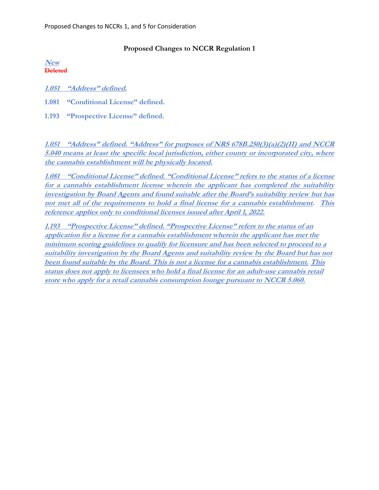## **Proposed Changes to NCCR Regulation 1**

**New Deleted**

**1.051 "Address" defined.**

**1.081 "Conditional License" defined.**

**1.193 "Prospective License" defined.**

**1.051 "Address" defined. "Address" for purposes of NRS 678B.250(3)(a)(2)(II) and NCCR 5.040 means at least the specific local jurisdiction, either county or incorporated city, where the cannabis establishment will be physically located.**

**1.081 "Conditional License" defined. "Conditional License" refers to the status of a license for a cannabis establishment license wherein the applicant has completed the suitability investigation by Board Agents and found suitable after the Board's suitability review but has not met all of the requirements to hold a final license for a cannabis establishment. This reference applies only to conditional licenses issued after April 1, 2022.**

**1.193 "Prospective License" defined. "Prospective License" refers to the status of an application for a license for a cannabis establishment wherein the applicant has met the minimum scoring guidelines to qualify for licensure and has been selected to proceed to a suitability investigation by the Board Agents and suitability review by the Board but has not been found suitable by the Board. This is not a license for a cannabis establishment. This status does not apply to licensees who hold a final license for an adult-use cannabis retail store who apply for a retail cannabis consumption lounge pursuant to NCCR 5.060.**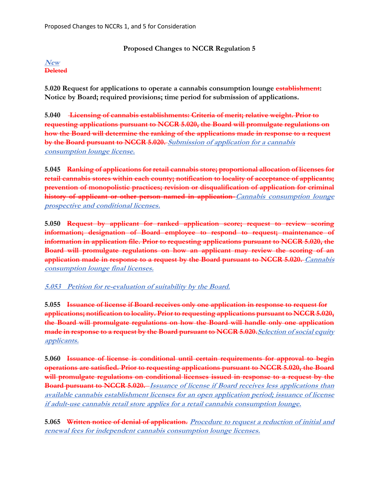## **Proposed Changes to NCCR Regulation 5**

## **New Deleted**

**5.020 Request for applications to operate a cannabis consumption lounge establishment: Notice by Board; required provisions; time period for submission of applications.**

**5.040 Licensing of cannabis establishments: Criteria of merit; relative weight. Prior to requesting applications pursuant to NCCR 5.020, the Board will promulgate regulations on how the Board will determine the ranking of the applications made in response to a request by the Board pursuant to NCCR 5.020. Submission of application for a cannabis consumption lounge license.**

**5.045 Ranking of applications for retail cannabis store; proportional allocation of licenses for retail cannabis stores within each county; notification to locality of acceptance of applicants; prevention of monopolistic practices; revision or disqualification of application for criminal history of applicant or other person named in application Cannabis consumption lounge prospective and conditional licenses.**

**5.050 Request by applicant for ranked application score; request to review scoring information; designation of Board employee to respond to request; maintenance of information in application file. Prior to requesting applications pursuant to NCCR 5.020, the Board will promulgate regulations on how an applicant may review the scoring of an application made in response to a request by the Board pursuant to NCCR 5.020. Cannabis consumption lounge final licenses.**

**5.053 Petition for re-evaluation of suitability by the Board.**

**5.055 Issuance of license if Board receives only one application in response to request for applications; notification to locality. Prior to requesting applications pursuant to NCCR 5.020, the Board will promulgate regulations on how the Board will handle only one application made in response to a request by the Board pursuant to NCCR 5.020.Selection of social equity applicants.**

**5.060 Issuance of license is conditional until certain requirements for approval to begin operations are satisfied. Prior to requesting applications pursuant to NCCR 5.020, the Board will promulgate regulations on conditional licenses issued in response to a request by the Board pursuant to NCCR 5.020. Issuance of license if Board receives less applications than available cannabis establishment licenses for an open application period; issuance of license if adult-use cannabis retail store applies for a retail cannabis consumption lounge.**

**5.065 Written notice of denial of application. Procedure to request a reduction of initial and renewal fees for independent cannabis consumption lounge licenses.**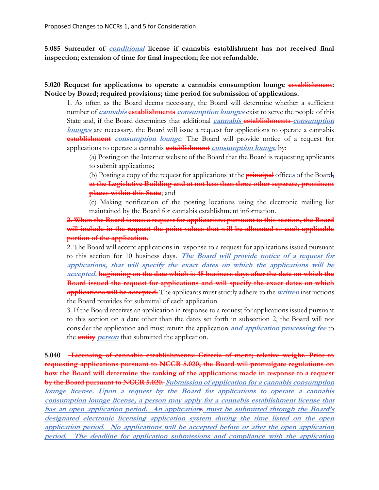**5.085 Surrender of conditional license if cannabis establishment has not received final inspection; extension of time for final inspection; fee not refundable.**

**5.020 Request for applications to operate a cannabis consumption lounge establishment: Notice by Board; required provisions; time period for submission of applications.**

1. As often as the Board deems necessary, the Board will determine whether a sufficient number of **cannabis establishments consumption lounges** exist to serve the people of this State and, if the Board determines that additional **cannabis establishments consumption lounges** are necessary, the Board will issue a request for applications to operate a cannabis **establishment** *consumption lounge*. The Board will provide notice of a request for applications to operate a cannabis **establishment consumption lounge** by:

(a) Posting on the Internet website of the Board that the Board is requesting applicants to submit applications;

(b) Posting a copy of the request for applications at the **principal** office**<sup>s</sup>** of the Board**, at the Legislative Building and at not less than three other separate, prominent places within this State**; and

(c) Making notification of the posting locations using the electronic mailing list maintained by the Board for cannabis establishment information.

**2. When the Board issues a request for applications pursuant to this section, the Board will include in the request the point values that will be allocated to each applicable portion of the application.**

2. The Board will accept applications in response to a request for applications issued pursuant to this section for 10 business days**. The Board will provide notice of a request for applications, that will specify the exact dates on which the applications will be accepted. beginning on the date which is 45 business days after the date on which the Board issued the request for applications and will specify the exact dates on which applications will be accepted.** The applicants must strictly adhere to the **written** instructions the Board provides for submittal of each application.

3. If the Board receives an application in response to a request for applications issued pursuant to this section on a date other than the dates set forth in subsection 2, the Board will not consider the application and must return the application **and application processing fee** to the **entity person** that submitted the application.

**5.040 Licensing of cannabis establishments: Criteria of merit; relative weight. Prior to requesting applications pursuant to NCCR 5.020, the Board will promulgate regulations on how the Board will determine the ranking of the applications made in response to a request by the Board pursuant to NCCR 5.020. Submission of application for a cannabis consumption lounge license. Upon a request by the Board for applications to operate a cannabis consumption lounge license, a person may apply for <sup>a</sup> cannabis establishment license that has an open application period. An applications must be submitted through the Board's designated electronic licensing application system during the time listed on the open application period. No applications will be accepted before or after the open application period. The deadline for application submissions and compliance with the application**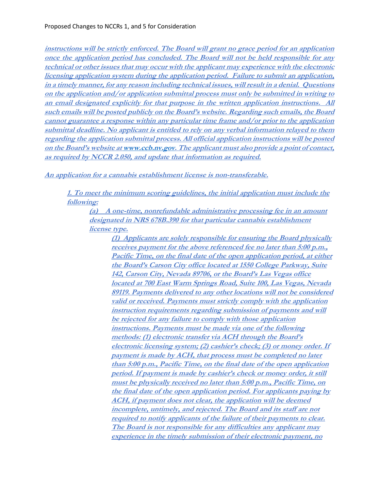**instructions will be strictly enforced. The Board will grant no grace period for an application once the application period has concluded. The Board will not be held responsible for any technical or other issues that may occur with the applicant may experience with the electronic licensing application system during the application period. Failure to submit an application, in a timely manner, for any reason including technical issues, will result in a denial. Questions on the application and/or application submittal process must only be submitted in writing to an email designated explicitly for that purpose in the written application instructions. All such emails will be posted publicly on the Board's website. Regarding such emails, the Board cannot guarantee a response within any particular time frame and/or prior to the application submittal deadline. No applicant is entitled to rely on any verbal information relayed to them regarding the application submittal process. All official application instructions will be posted on the Board's website at [www.ccb.nv.gov.](http://www.ccb.nv.gov/) The applicant must also provide a point of contact, as required by NCCR 2.050, and update that information as required.**

**An application for a cannabis establishment license is non-transferable.**

**1. To meet the minimum scoring guidelines, the initial application must include the following:**

**(a)****A one-time, nonrefundable administrative processing fee in an amount designated in NRS 678B.390 for that particular cannabis establishment license type.**

**(1) Applicants are solely responsible for ensuring the Board physically receives payment for the above referenced fee no later than 5:00 p.m., Pacific Time, on the final date of the open application period, at either the Board's Carson City office located at 1550 College Parkway, Suite 142, Carson City, Nevada 89706, or the Board's Las Vegas office located at 700 East Warm Springs Road, Suite 100, Las Vegas, Nevada 89119. Payments delivered to any other locations will not be considered valid or received. Payments must strictly comply with the application instruction requirements regarding submission of payments and will be rejected for any failure to comply with those application instructions. Payments must be made via one of the following methods: (1) electronic transfer via ACH through the Board's electronic licensing system; (2) cashier's check; (3) or money order. If payment is made by ACH, that process must be completed no later than 5:00 p.m., Pacific Time, on the final date of the open application period. If payment is made by cashier's check or money order, it still must be physically received no later than 5:00 p.m., Pacific Time, on the final date of the open application period. For applicants paying by ACH, if payment does not clear, the application will be deemed incomplete, untimely, and rejected. The Board and its staff are not required to notify applicants of the failure of their payments to clear. The Board is not responsible for any difficulties any applicant may experience in the timely submission of their electronic payment, no**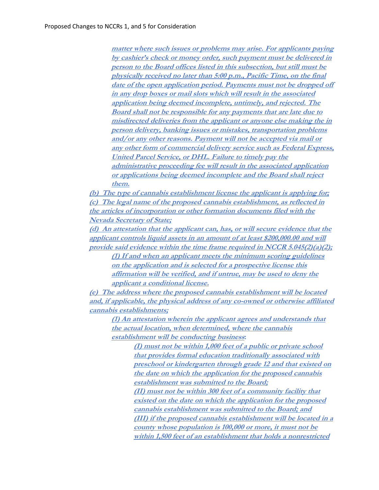**matter where such issues or problems may arise. For applicants paying by cashier's check or money order, such payment must be delivered in person to the Board offices listed in this subsection, but still must be physically received no later than 5:00 p.m., Pacific Time, on the final date of the open application period. Payments must not be dropped off in any drop boxes or mail slots which will result in the associated application being deemed incomplete, untimely, and rejected. The Board shall not be responsible for any payments that are late due to misdirected deliveries from the applicant or anyone else making the in person delivery, banking issues or mistakes, transportation problems and/or any other reasons. Payment will not be accepted via mail or any other form of commercial delivery service such as Federal Express, United Parcel Service, or DHL. Failure to timely pay the administrative proceeding fee will result in the associated application or applications being deemed incomplete and the Board shall reject them.**

**(b) The type of cannabis establishment license the applicant is applying for; (c) The legal name of the proposed cannabis establishment, as reflected in the articles of incorporation or other formation documents filed with the Nevada Secretary of State;**

**(d) An attestation that the applicant can, has, or will secure evidence that the applicant controls liquid assets in an amount of at least \$200,000.00 and will provide said evidence within the time frame required in NCCR 5.045(2)(a)(2);**

**(1) If and when an applicant meets the minimum scoring guidelines on the application and is selected for a prospective license this affirmation will be verified, and if untrue, may be used to deny the applicant a conditional license.**

**(e) The address where the proposed cannabis establishment will be located and, if applicable, the physical address of any co-owned or otherwise affiliated cannabis establishments;**

**(1) An attestation wherein the applicant agrees and understands that the actual location, when determined, where the cannabis establishment will be conducting business:**

**(I) must not be within 1,000 feet of a public or private school that provides formal education traditionally associated with preschool or kindergarten through grade 12 and that existed on the date on which the application for the proposed cannabis establishment was submitted to the Board; (II) must not be within 300 feet of a community facility that existed on the date on which the application for the proposed cannabis establishment was submitted to the Board; and (III) if the proposed cannabis establishment will be located in a county whose population is 100,000 or more, it must not be within 1,500 feet of an establishment that holds a nonrestricted**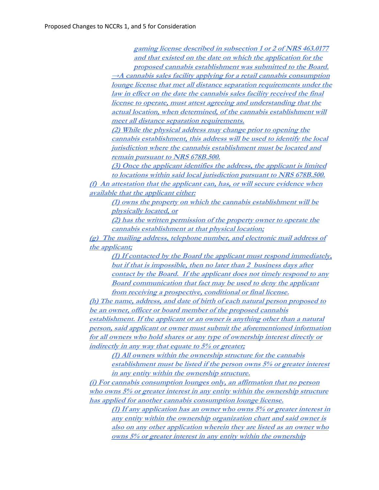**gaming license described in subsection 1 or 2 of NRS 463.0177 and that existed on the date on which the application for the proposed cannabis establishment was submitted to the Board.**

**→A cannabis sales facility applying for a retail cannabis consumption lounge license that met all distance separation requirements under the law in effect on the date the cannabis sales facility received the final license to operate, must attest agreeing and understanding that the actual location, when determined, of the cannabis establishment will meet all distance separation requirements.**

**(2) While the physical address may change prior to opening the cannabis establishment, this address will be used to identify the local jurisdiction where the cannabis establishment must be located and remain pursuant to NRS 678B.500.**

**(3) Once the applicant identifies the address, the applicant is limited to locations within said local jurisdiction pursuant to NRS 678B.500. (f) An attestation that the applicant can, has, or will secure evidence when available that the applicant either:**

**(1) owns the property on which the cannabis establishment will be physically located, or** 

**(2) has the written permission of the property owner to operate the cannabis establishment at that physical location;**

**(g) The mailing address, telephone number, and electronic mail address of the applicant;**

**(1) If contacted by the Board the applicant must respond immediately, but if that is impossible, then no later than 2 business days after contact by the Board. If the applicant does not timely respond to any Board communication that fact may be used to deny the applicant from receiving a prospective, conditional or final license.**

**(h) <sup>T</sup>he name, address, and date of birth of each natural person proposed to be an owner, officer or board member of the proposed cannabis establishment. If the applicant or an owner is anything other than a natural person, said applicant or owner must submit the aforementioned information for all owners who hold shares or any type of ownership interest directly or indirectly in any way that equate to 5% or greater;**

**(1) All owners within the ownership structure for the cannabis establishment must be listed if the person owns 5% or greater interest in any entity within the ownership structure.**

**(i) For cannabis consumption lounges only, an affirmation that no person who owns 5% or greater interest in any entity within the ownership structure has applied for another cannabis consumption lounge license.**

**(1) If any application has an owner who owns 5% or greater interest in any entity within the ownership organization chart and said owner is also on any other application wherein they are listed as an owner who owns 5% or greater interest in any entity within the ownership**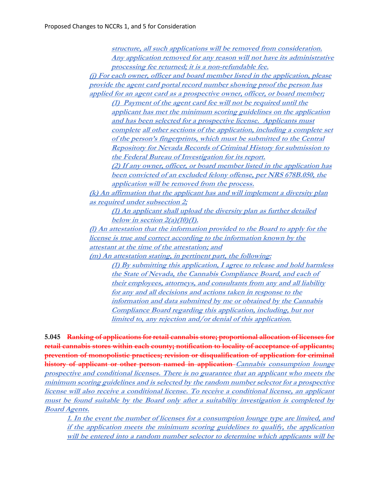**structure, all such applications will be removed from consideration. Any application removed for any reason will not have its administrative processing fee returned; it is a non-refundable fee. (j) For each owner, officer and board member listed in the application, please provide the agent card portal record number showing proof the person has applied for an agent card as a prospective owner, officer, or board member; (1) Payment of the agent card fee will not be required until the applicant has met the minimum scoring guidelines on the application and has been selected for a prospective license. Applicants must complete all other sections of the application, including a complete set of the person's fingerprints, which must be submitted to the Central Repository for Nevada Records of Criminal History for submission to the Federal Bureau of Investigation for its report. (2) If any owner, officer, or board member listed in the application has been convicted of an excluded felony offense, per NRS 678B.050, the application will be removed from the process. (k) An affirmation that the applicant has and will implement a diversity plan as required under subsection 2; (1) An applicant shall upload the diversity plan as further detailed below in section 2(a)(10)(I). (l) An attestation that the information provided to the Board to apply for the license is true and correct according to the information known by the attestant at the time of the attestation; and (m) An attestation stating, in pertinent part, the following: (1) By submitting this application, I agree to release and hold harmless the State of Nevada, the Cannabis Compliance Board, and each of their employees, attorneys, and consultants from any and all liability for any and all decisions and actions taken in response to the information and data submitted by me or obtained by the Cannabis Compliance Board regarding this application, including, but not limited to, any rejection and/or denial of this application.**

**5.045 Ranking of applications for retail cannabis store; proportional allocation of licenses for retail cannabis stores within each county; notification to locality of acceptance of applicants; prevention of monopolistic practices; revision or disqualification of application for criminal history of applicant or other person named in application Cannabis consumption lounge prospective and conditional licenses. There is no guarantee that an applicant who meets the minimum scoring guidelines and is selected by the random number selector for a prospective license will also receive a conditional license. To receive a conditional license, an applicant must be found suitable by the Board only after a suitability investigation is completed by Board Agents.**

**1. In the event the number of licenses for a consumption lounge type are limited, and if the application meets the minimum scoring guidelines to qualify, the application will be entered into a random number selector to determine which applicants will be**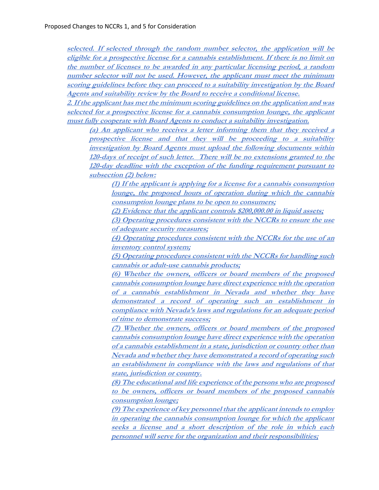**selected. If selected through the random number selector, the application will be eligible for a prospective license for a cannabis establishment. If there is no limit on the number of licenses to be awarded in any particular licensing period, a random number selector will not be used. However, the applicant must meet the minimum scoring guidelines before they can proceed to a suitability investigation by the Board Agents and suitability review by the Board to receive a conditional license.** 

**2. If the applicant has met the minimum scoring guidelines on the application and was selected for a prospective license for a cannabis consumption lounge, the applicant must fully cooperate with Board Agents to conduct a suitability investigation.** 

**(a) An applicant who receives a letter informing them that they received a prospective license and that they will be proceeding to a suitability investigation by Board Agents must upload the following documents within 120-days of receipt of such letter. There will be no extensions granted to the 120-day deadline with the exception of the funding requirement pursuant to subsection (2) below:**

**(1) If the applicant is applying for a license for a cannabis consumption lounge, the proposed hours of operation during which the cannabis consumption lounge plans to be open to consumers;**

**(2) Evidence that the applicant controls \$200,000.00 in liquid assets;**

**(3) Operating procedures consistent with the NCCRs to ensure the use of adequate security measures;**

**(4) Operating procedures consistent with the NCCRs for the use of an inventory control system;**

**(5) Operating procedures consistent with the NCCRs for handling such cannabis or adult-use cannabis products;**

**(6) Whether the owners, officers or board members of the proposed cannabis consumption lounge have direct experience with the operation of a cannabis establishment in Nevada and whether they have demonstrated a record of operating such an establishment in compliance with Nevada's laws and regulations for an adequate period of time to demonstrate success;**

**(7) Whether the owners, officers or board members of the proposed cannabis consumption lounge have direct experience with the operation of a cannabis establishment in a state, jurisdiction or country other than Nevada and whether they have demonstrated a record of operating such an establishment in compliance with the laws and regulations of that state, jurisdiction or country.**

**(8) The educational and life experience of the persons who are proposed to be owners, officers or board members of the proposed cannabis consumption lounge;**

**(9) The experience of key personnel that the applicant intends to employ in operating the cannabis consumption lounge for which the applicant seeks a license and a short description of the role in which each personnel will serve for the organization and their responsibilities;**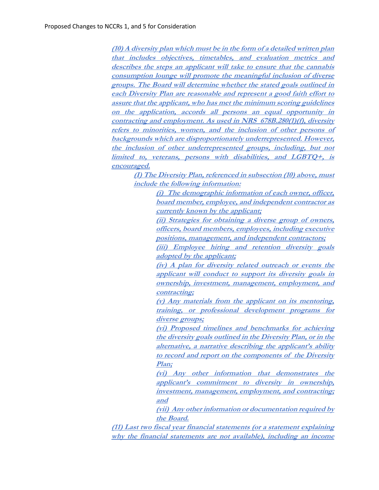**(10) A diversity plan which must be in the form of a detailed written plan that includes objectives, timetables, and evaluation metrics and describes the steps an applicant will take to ensure that the cannabis consumption lounge will promote the meaningful inclusion of diverse groups. The Board will determine whether the stated goals outlined in each Diversity Plan are reasonable and represent a good faith effort to assure that the applicant, who has met the minimum scoring guidelines on the application, accords all persons an equal opportunity in contracting and employment. As used in NRS 678B.280(1)(f), diversity refers to minorities, women, and the inclusion of other persons of backgrounds which are disproportionately underrepresented. However, the inclusion of other underrepresented groups, including, but not limited to, veterans, persons with disabilities, and LGBTQ+, is encouraged.**

**(I) The Diversity Plan, referenced in subsection (10) above, must include the following information:**

> **(i) The demographic information of each owner, officer, board member, employee, and independent contractor as currently known by the applicant;**

> **(ii) Strategies for obtaining a diverse group of owners, officers, board members, employees, including executive positions, management, and independent contractors;**

> **(iii) Employee hiring and retention diversity goals adopted by the applicant;**

> **(iv) A plan for diversity related outreach or events the applicant will conduct to support its diversity goals in ownership, investment, management, employment, and contracting;**

> **(v) Any materials from the applicant on its mentoring, training, or professional development programs for diverse groups;**

> **(vi) Proposed timelines and benchmarks for achieving the diversity goals outlined in the Diversity Plan, or in the alternative, a narrative describing the applicant's ability to record and report on the components of the Diversity Plan;**

> **(vi) Any other information that demonstrates the applicant's commitment to diversity in ownership, investment, management, employment, and contracting; and**

> **(vii) Any other information or documentation required by the Board.**

**(11) Last two fiscal year financial statements (or a statement explaining why the financial statements are not available), including an income**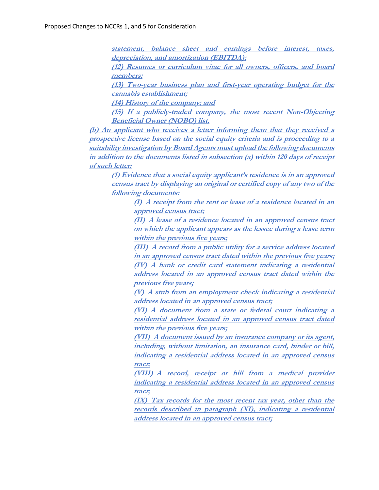**statement, balance sheet and earnings before interest, taxes, depreciation, and amortization (EBITDA);**

**(12) Resumes or curriculum vitae for all owners, officers, and board members;**

**(13) Two-year business plan and first-year operating budget for the cannabis establishment;** 

**(14) History of the company; and**

**(15) If a publicly-traded company, the most recent Non-Objecting Beneficial Owner (NOBO) list.** 

**(b) An applicant who receives a letter informing them that they received a prospective license based on the social equity criteria and is proceeding to a suitability investigation by Board Agents must upload the following documents in addition to the documents listed in subsection (a) within 120 days of receipt of such letter:**

**(1) Evidence that a social equity applicant's residence is in an approved census tract by displaying an original or certified copy of any two of the following documents:**

**(I) A receipt from the rent or lease of a residence located in an approved census tract;**

**(II) A lease of a residence located in an approved census tract on which the applicant appears as the lessee during a lease term within the previous five years;**

**(III) A record from a public utility for a service address located in an approved census tract dated within the previous five years; (IV) A bank or credit card statement indicating a residential address located in an approved census tract dated within the previous five years;**

**(V) A stub from an employment check indicating a residential address located in an approved census tract;**

**(VI) A document from a state or federal court indicating a residential address located in an approved census tract dated within the previous five years;**

**(VII) A document issued by an insurance company or its agent, including, without limitation, an insurance card, binder or bill, indicating a residential address located in an approved census tract;**

**(VIII) A record, receipt or bill from a medical provider indicating a residential address located in an approved census tract;** 

**(IX) Tax records for the most recent tax year, other than the records described in paragraph (XI), indicating a residential address located in an approved census tract;**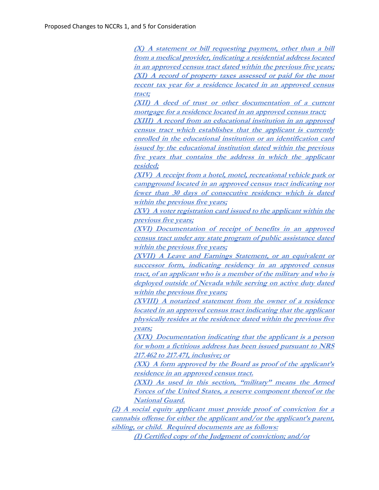**(X) A statement or bill requesting payment, other than a bill from a medical provider, indicating a residential address located in an approved census tract dated within the previous five years; (XI) A record of property taxes assessed or paid for the most recent tax year for a residence located in an approved census tract;**

**(XII) A deed of trust or other documentation of a current mortgage for a residence located in an approved census tract;**

**(XIII) A record from an educational institution in an approved census tract which establishes that the applicant is currently enrolled in the educational institution or an identification card issued by the educational institution dated within the previous five years that contains the address in which the applicant resided;**

**(XIV) A receipt from a hotel, motel, recreational vehicle park or campground located in an approved census tract indicating not fewer than 30 days of consecutive residency which is dated within the previous five years;**

**(XV) A voter registration card issued to the applicant within the previous five years;**

**(XVI) Documentation of receipt of benefits in an approved census tract under any state program of public assistance dated within the previous five years;**

**(XVII) A Leave and Earnings Statement, or an equivalent or successor form, indicating residency in an approved census tract, of an applicant who is a member of the military and who is deployed outside of Nevada while serving on active duty dated within the previous five years;** 

**(XVIII) A notarized statement from the owner of a residence located in an approved census tract indicating that the applicant physically resides at the residence dated within the previous five years;**

**(XIX) Documentation indicating that the applicant is a person for whom a fictitious address has been issued pursuant to NRS 217.462 to 217.471, inclusive; or**

**(XX) A form approved by the Board as proof of the applicant's residence in an approved census tract.**

**(XXI) As used in this section, "military" means the Armed Forces of the United States, a reserve component thereof or the National Guard.**

**(2) A social equity applicant must provide proof of conviction for a cannabis offense for either the applicant and/or the applicant's parent, sibling, or child. Required documents are as follows:**

**(I) Certified copy of the Judgment of conviction; and/or**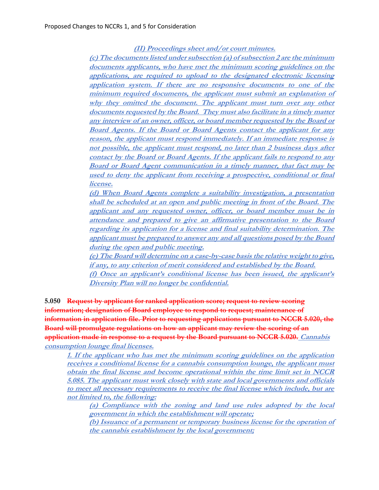**(II) Proceedings sheet and/or court minutes.**

**(c) The documents listed under subsection (a) of subsection 2 are the minimum documents applicants, who have met the minimum scoring guidelines on the applications, are required to upload to the designated electronic licensing application system. If there are no responsive documents to one of the minimum required documents, the applicant must submit an explanation of why they omitted the document. The applicant must turn over any other documents requested by the Board. They must also facilitate in a timely matter any interview of an owner, officer, or board member requested by the Board or Board Agents. If the Board or Board Agents contact the applicant for any reason, the applicant must respond immediately. If an immediate response is not possible, the applicant must respond, no later than 2 business days after contact by the Board or Board Agents. If the applicant fails to respond to any Board or Board Agent communication in a timely manner, that fact may be used to deny the applicant from receiving a prospective, conditional or final license.**

**(d) When Board Agents complete a suitability investigation, a presentation shall be scheduled at an open and public meeting in front of the Board. The applicant and any requested owner, officer, or board member must be in attendance and prepared to give an affirmative presentation to the Board regarding its application for a license and final suitability determination. The applicant must be prepared to answer any and all questions posed by the Board during the open and public meeting.** 

**(e) The Board will determine on a case-by-case basis the relative weight to give, if any, to any criterion of merit considered and established by the Board. (f) Once an applicant's conditional license has been issued, the applicant's Diversity Plan will no longer be confidential.**

**5.050 Request by applicant for ranked application score; request to review scoring information; designation of Board employee to respond to request; maintenance of information in application file. Prior to requesting applications pursuant to NCCR 5.020, the Board will promulgate regulations on how an applicant may review the scoring of an application made in response to a request by the Board pursuant to NCCR 5.020. Cannabis consumption lounge final licenses.**

**1. If the applicant who has met the minimum scoring guidelines on the application receives a conditional license for a cannabis consumption lounge, the applicant must obtain the final license and become operational within the time limit set in NCCR 5.085. The applicant must work closely with state and local governments and officials to meet all necessary requirements to receive the final license which include, but are not limited to, the following:**

**(a) Compliance with the zoning and land use rules adopted by the local government in which the establishment will operate;** 

**(b) Issuance of a permanent or temporary business license for the operation of the cannabis establishment by the local government;**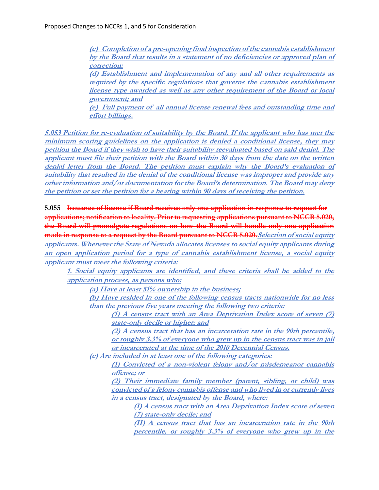**(c) Completion of a pre-opening final inspection of the cannabis establishment by the Board that results in a statement of no deficiencies or approved plan of correction; (d) Establishment and implementation of any and all other requirements as required by the specific regulations that governs the cannabis establishment license type awarded as well as any other requirement of the Board or local government; and (e) Full payment of all annual license renewal fees and outstanding time and effort billings.**

**5.053 Petition for re-evaluation of suitability by the Board. If the applicant who has met the minimum scoring guidelines on the application is denied a conditional license, they may petition the Board if they wish to have their suitability reevaluated based on said denial. The applicant must file their petition with the Board within 30 days from the date on the written denial letter from the Board. The petition must explain why the Board's evaluation of suitability that resulted in the denial of the conditional license was improper and provide any other information and/or documentation for the Board's determination. The Board may deny the petition or set the petition for a hearing within 90 days of receiving the petition.**

**5.055 Issuance of license if Board receives only one application in response to request for applications; notification to locality. Prior to requesting applications pursuant to NCCR 5.020, the Board will promulgate regulations on how the Board will handle only one application made in response to a request by the Board pursuant to NCCR 5.020.Selection of social equity applicants. Whenever the State of Nevada allocates licenses to social equity applicants during an open application period for a type of cannabis establishment license, a social equity applicant must meet the following criteria:**

**1. Social equity applicants are identified, and these criteria shall be added to the application process, as persons who:** 

**(a) Have at least 51% ownership in the business;** 

**(b) Have resided in one of the following census tracts nationwide for no less than the previous five years meeting the following two criteria:** 

**(1) A census tract with an Area Deprivation Index score of seven (7) state-only decile or higher; and**

**(2) A census tract that has an incarceration rate in the 90th percentile, or roughly 3.3% of everyone who grew up in the census tract was in jail or incarcerated at the time of the 2010 Decennial Census.** 

**(c) Are included in at least one of the following categories:** 

**(1) Convicted of a non-violent felony and/or misdemeanor cannabis offense; or**

**(2) Their immediate family member (parent, sibling, or child) was convicted of a felony cannabis offense and who lived in or currently lives in a census tract, designated by the Board, where:** 

**(I) A census tract with an Area Deprivation Index score of seven (7) state-only decile; and**

**(II) A census tract that has an incarceration rate in the 90th percentile, or roughly 3.3% of everyone who grew up in the**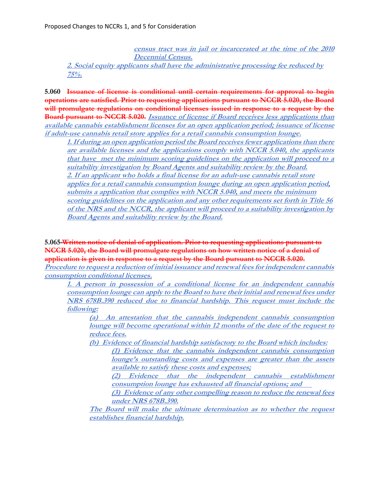**census tract was in jail or incarcerated at the time of the 2010 Decennial Census. 2. Social equity applicants shall have the administrative processing fee reduced by 75%.**

**5.060 Issuance of license is conditional until certain requirements for approval to begin operations are satisfied. Prior to requesting applications pursuant to NCCR 5.020, the Board**  will promulgate regulations on conditional licenses issued in response to a request by the **Board pursuant to NCCR 5.020. Issuance of license if Board receives less applications than available cannabis establishment licenses for an open application period; issuance of license if adult-use cannabis retail store applies for a retail cannabis consumption lounge.** 

**1. If during an open application period the Board receives fewer applications than there are available licenses and the applications comply with NCCR 5.040, the applicants that have met the minimum scoring guidelines on the application will proceed to a suitability investigation by Board Agents and suitability review by the Board. 2. If an applicant who holds a final license for an adult-use cannabis retail store applies for a retail cannabis consumption lounge during an open application period, submits a application that complies with NCCR 5.040, and meets the minimum scoring guidelines on the application and any other requirements set forth in Title 56 of the NRS and the NCCR, the applicant will proceed to a suitability investigation by Board Agents and suitability review by the Board.**

**5.065 Written notice of denial of application. Prior to requesting applications pursuant to NCCR 5.020, the Board will promulgate regulations on how written notice of a denial of application is given in response to a request by the Board pursuant to NCCR 5.020.**

**Procedure to request a reduction of initial issuance and renewal fees for independent cannabis consumption conditional licenses.**

**1. A person in possession of a conditional license for an independent cannabis consumption lounge can apply to the Board to have their initial and renewal fees under NRS 678B.390 reduced due to financial hardship. This request must include the following:**

**(a) An attestation that the cannabis independent cannabis consumption lounge will become operational within 12 months of the date of the request to reduce fees.**

**(b) Evidence of financial hardship satisfactory to the Board which includes:**

**(1) Evidence that the cannabis independent cannabis consumption lounge's outstanding costs and expenses are greater than the assets available to satisfy these costs and expenses;**

**(2) Evidence that the independent cannabis establishment consumption lounge has exhausted all financial options; and**

**(3) Evidence of any other compelling reason to reduce the renewal fees under NRS 678B.390.**

**The Board will make the ultimate determination as to whether the request establishes financial hardship.**